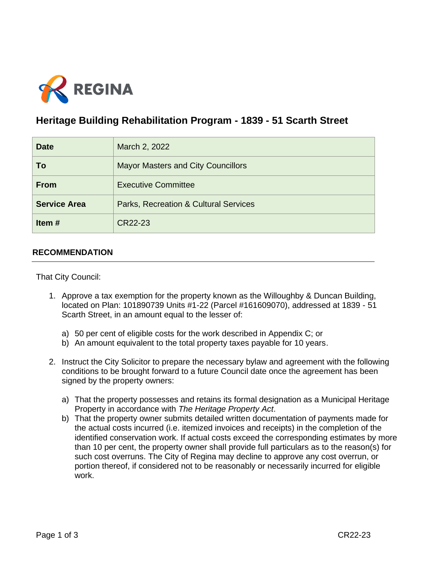

## **Heritage Building Rehabilitation Program - 1839 - 51 Scarth Street**

| <b>Date</b>         | March 2, 2022                             |
|---------------------|-------------------------------------------|
| To                  | <b>Mayor Masters and City Councillors</b> |
| <b>From</b>         | <b>Executive Committee</b>                |
| <b>Service Area</b> | Parks, Recreation & Cultural Services     |
| Item $#$            | CR22-23                                   |

## **RECOMMENDATION**

That City Council:

- 1. Approve a tax exemption for the property known as the Willoughby & Duncan Building, located on Plan: 101890739 Units #1-22 (Parcel #161609070), addressed at 1839 - 51 Scarth Street, in an amount equal to the lesser of:
	- a) 50 per cent of eligible costs for the work described in Appendix C; or
	- b) An amount equivalent to the total property taxes payable for 10 years.
- 2. Instruct the City Solicitor to prepare the necessary bylaw and agreement with the following conditions to be brought forward to a future Council date once the agreement has been signed by the property owners:
	- a) That the property possesses and retains its formal designation as a Municipal Heritage Property in accordance with *The Heritage Property Act*.
	- b) That the property owner submits detailed written documentation of payments made for the actual costs incurred (i.e. itemized invoices and receipts) in the completion of the identified conservation work. If actual costs exceed the corresponding estimates by more than 10 per cent, the property owner shall provide full particulars as to the reason(s) for such cost overruns. The City of Regina may decline to approve any cost overrun, or portion thereof, if considered not to be reasonably or necessarily incurred for eligible work.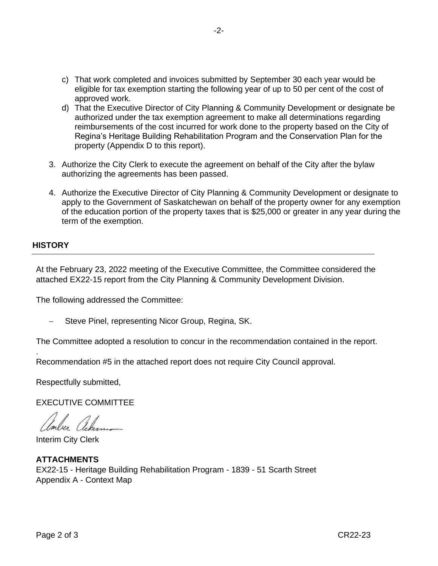- c) That work completed and invoices submitted by September 30 each year would be eligible for tax exemption starting the following year of up to 50 per cent of the cost of approved work.
- d) That the Executive Director of City Planning & Community Development or designate be authorized under the tax exemption agreement to make all determinations regarding reimbursements of the cost incurred for work done to the property based on the City of Regina's Heritage Building Rehabilitation Program and the Conservation Plan for the property (Appendix D to this report).
- 3. Authorize the City Clerk to execute the agreement on behalf of the City after the bylaw authorizing the agreements has been passed.
- 4. Authorize the Executive Director of City Planning & Community Development or designate to apply to the Government of Saskatchewan on behalf of the property owner for any exemption of the education portion of the property taxes that is \$25,000 or greater in any year during the term of the exemption.

## **HISTORY**

.

At the February 23, 2022 meeting of the Executive Committee, the Committee considered the attached EX22-15 report from the City Planning & Community Development Division.

The following addressed the Committee:

Steve Pinel, representing Nicor Group, Regina, SK.

The Committee adopted a resolution to concur in the recommendation contained in the report.

Recommendation #5 in the attached report does not require City Council approval.

Respectfully submitted,

EXECUTIVE COMMITTEE

Interim City Clerk

**ATTACHMENTS** EX22-15 - Heritage Building Rehabilitation Program - 1839 - 51 Scarth Street Appendix A - Context Map